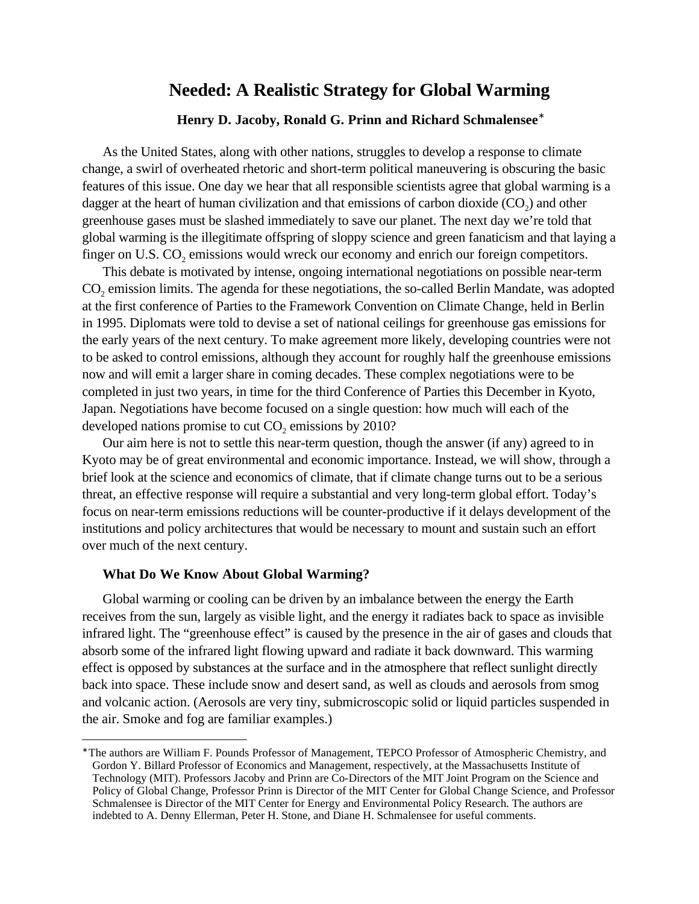# **Needed: A Realistic Strategy for Global Warming**

# **Henry D. Jacoby, Ronald G. Prinn and Richard Schmalensee**<sup>∗</sup>

As the United States, along with other nations, struggles to develop a response to climate change, a swirl of overheated rhetoric and short-term political maneuvering is obscuring the basic features of this issue. One day we hear that all responsible scientists agree that global warming is a dagger at the heart of human civilization and that emissions of carbon dioxide  $(CO<sub>2</sub>)$  and other greenhouse gases must be slashed immediately to save our planet. The next day we're told that global warming is the illegitimate offspring of sloppy science and green fanaticism and that laying a finger on U.S. CO<sub>2</sub> emissions would wreck our economy and enrich our foreign competitors.

This debate is motivated by intense, ongoing international negotiations on possible near-term CO<sub>2</sub> emission limits. The agenda for these negotiations, the so-called Berlin Mandate, was adopted at the first conference of Parties to the Framework Convention on Climate Change, held in Berlin in 1995. Diplomats were told to devise a set of national ceilings for greenhouse gas emissions for the early years of the next century. To make agreement more likely, developing countries were not to be asked to control emissions, although they account for roughly half the greenhouse emissions now and will emit a larger share in coming decades. These complex negotiations were to be completed in just two years, in time for the third Conference of Parties this December in Kyoto, Japan. Negotiations have become focused on a single question: how much will each of the developed nations promise to cut  $CO<sub>2</sub>$  emissions by 2010?

Our aim here is not to settle this near-term question, though the answer (if any) agreed to in Kyoto may be of great environmental and economic importance. Instead, we will show, through a brief look at the science and economics of climate, that if climate change turns out to be a serious threat, an effective response will require a substantial and very long-term global effort. Today's focus on near-term emissions reductions will be counter-productive if it delays development of the institutions and policy architectures that would be necessary to mount and sustain such an effort over much of the next century.

## **What Do We Know About Global Warming?**

<u>.</u>

Global warming or cooling can be driven by an imbalance between the energy the Earth receives from the sun, largely as visible light, and the energy it radiates back to space as invisible infrared light. The "greenhouse effect" is caused by the presence in the air of gases and clouds that absorb some of the infrared light flowing upward and radiate it back downward. This warming effect is opposed by substances at the surface and in the atmosphere that reflect sunlight directly back into space. These include snow and desert sand, as well as clouds and aerosols from smog and volcanic action. (Aerosols are very tiny, submicroscopic solid or liquid particles suspended in the air. Smoke and fog are familiar examples.)

<sup>∗</sup> The authors are William F. Pounds Professor of Management, TEPCO Professor of Atmospheric Chemistry, and Gordon Y. Billard Professor of Economics and Management, respectively, at the Massachusetts Institute of Technology (MIT). Professors Jacoby and Prinn are Co-Directors of the MIT Joint Program on the Science and Policy of Global Change, Professor Prinn is Director of the MIT Center for Global Change Science, and Professor Schmalensee is Director of the MIT Center for Energy and Environmental Policy Research. The authors are indebted to A. Denny Ellerman, Peter H. Stone, and Diane H. Schmalensee for useful comments.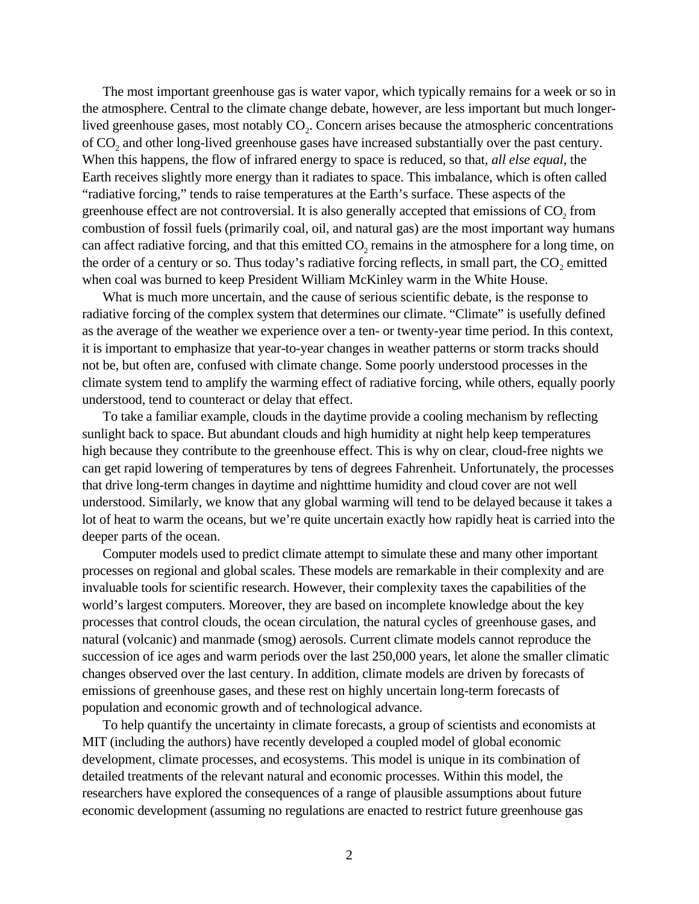The most important greenhouse gas is water vapor, which typically remains for a week or so in the atmosphere. Central to the climate change debate, however, are less important but much longerlived greenhouse gases, most notably CO<sub>2</sub>. Concern arises because the atmospheric concentrations of CO<sub>2</sub> and other long-lived greenhouse gases have increased substantially over the past century. When this happens, the flow of infrared energy to space is reduced, so that, *all else equal*, the Earth receives slightly more energy than it radiates to space. This imbalance, which is often called "radiative forcing," tends to raise temperatures at the Earth's surface. These aspects of the greenhouse effect are not controversial. It is also generally accepted that emissions of  $CO<sub>2</sub>$  from combustion of fossil fuels (primarily coal, oil, and natural gas) are the most important way humans can affect radiative forcing, and that this emitted  $CO<sub>2</sub>$  remains in the atmosphere for a long time, on the order of a century or so. Thus today's radiative forcing reflects, in small part, the  $CO<sub>2</sub>$  emitted when coal was burned to keep President William McKinley warm in the White House.

What is much more uncertain, and the cause of serious scientific debate, is the response to radiative forcing of the complex system that determines our climate. "Climate" is usefully defined as the average of the weather we experience over a ten- or twenty-year time period. In this context, it is important to emphasize that year-to-year changes in weather patterns or storm tracks should not be, but often are, confused with climate change. Some poorly understood processes in the climate system tend to amplify the warming effect of radiative forcing, while others, equally poorly understood, tend to counteract or delay that effect.

To take a familiar example, clouds in the daytime provide a cooling mechanism by reflecting sunlight back to space. But abundant clouds and high humidity at night help keep temperatures high because they contribute to the greenhouse effect. This is why on clear, cloud-free nights we can get rapid lowering of temperatures by tens of degrees Fahrenheit. Unfortunately, the processes that drive long-term changes in daytime and nighttime humidity and cloud cover are not well understood. Similarly, we know that any global warming will tend to be delayed because it takes a lot of heat to warm the oceans, but we're quite uncertain exactly how rapidly heat is carried into the deeper parts of the ocean.

Computer models used to predict climate attempt to simulate these and many other important processes on regional and global scales. These models are remarkable in their complexity and are invaluable tools for scientific research. However, their complexity taxes the capabilities of the world's largest computers. Moreover, they are based on incomplete knowledge about the key processes that control clouds, the ocean circulation, the natural cycles of greenhouse gases, and natural (volcanic) and manmade (smog) aerosols. Current climate models cannot reproduce the succession of ice ages and warm periods over the last 250,000 years, let alone the smaller climatic changes observed over the last century. In addition, climate models are driven by forecasts of emissions of greenhouse gases, and these rest on highly uncertain long-term forecasts of population and economic growth and of technological advance.

To help quantify the uncertainty in climate forecasts, a group of scientists and economists at MIT (including the authors) have recently developed a coupled model of global economic development, climate processes, and ecosystems. This model is unique in its combination of detailed treatments of the relevant natural and economic processes. Within this model, the researchers have explored the consequences of a range of plausible assumptions about future economic development (assuming no regulations are enacted to restrict future greenhouse gas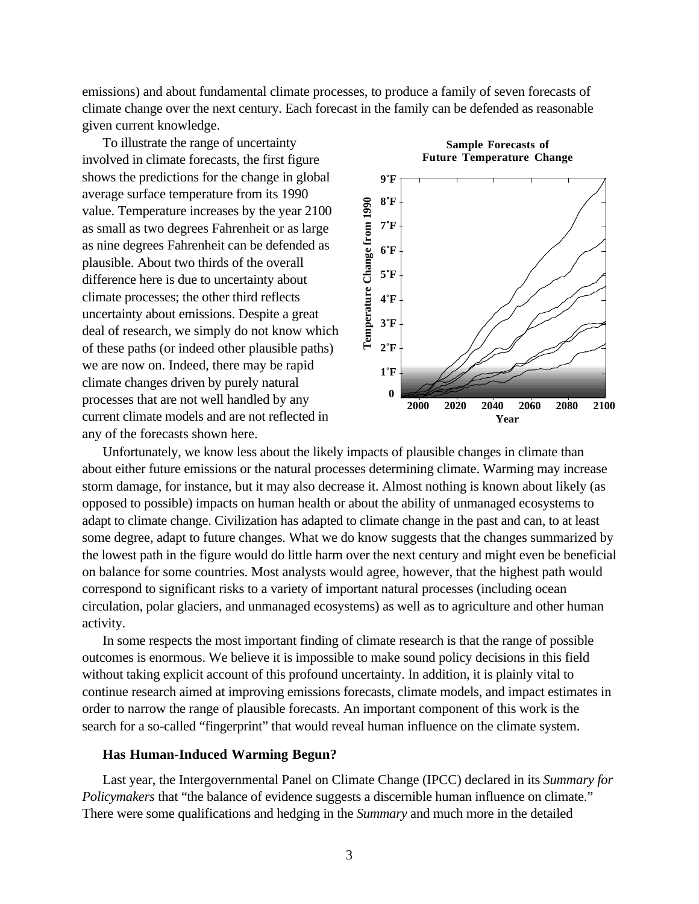emissions) and about fundamental climate processes, to produce a family of seven forecasts of climate change over the next century. Each forecast in the family can be defended as reasonable given current knowledge.

To illustrate the range of uncertainty involved in climate forecasts, the first figure shows the predictions for the change in global average surface temperature from its 1990 value. Temperature increases by the year 2100 as small as two degrees Fahrenheit or as large as nine degrees Fahrenheit can be defended as plausible. About two thirds of the overall difference here is due to uncertainty about climate processes; the other third reflects uncertainty about emissions. Despite a great deal of research, we simply do not know which of these paths (or indeed other plausible paths) we are now on. Indeed, there may be rapid climate changes driven by purely natural processes that are not well handled by any current climate models and are not reflected in any of the forecasts shown here.



Unfortunately, we know less about the likely impacts of plausible changes in climate than about either future emissions or the natural processes determining climate. Warming may increase storm damage, for instance, but it may also decrease it. Almost nothing is known about likely (as opposed to possible) impacts on human health or about the ability of unmanaged ecosystems to adapt to climate change. Civilization has adapted to climate change in the past and can, to at least some degree, adapt to future changes. What we do know suggests that the changes summarized by the lowest path in the figure would do little harm over the next century and might even be beneficial on balance for some countries. Most analysts would agree, however, that the highest path would correspond to significant risks to a variety of important natural processes (including ocean circulation, polar glaciers, and unmanaged ecosystems) as well as to agriculture and other human activity.

In some respects the most important finding of climate research is that the range of possible outcomes is enormous. We believe it is impossible to make sound policy decisions in this field without taking explicit account of this profound uncertainty. In addition, it is plainly vital to continue research aimed at improving emissions forecasts, climate models, and impact estimates in order to narrow the range of plausible forecasts. An important component of this work is the search for a so-called "fingerprint" that would reveal human influence on the climate system.

# **Has Human-Induced Warming Begun?**

Last year, the Intergovernmental Panel on Climate Change (IPCC) declared in its *Summary for Policymakers* that "the balance of evidence suggests a discernible human influence on climate." There were some qualifications and hedging in the *Summary* and much more in the detailed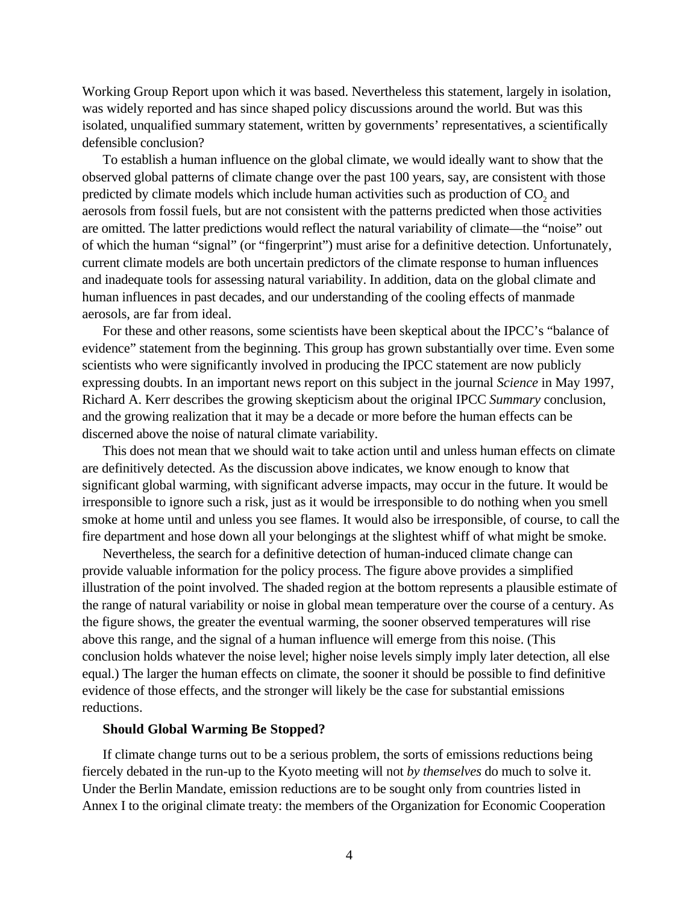Working Group Report upon which it was based. Nevertheless this statement, largely in isolation, was widely reported and has since shaped policy discussions around the world. But was this isolated, unqualified summary statement, written by governments' representatives, a scientifically defensible conclusion?

To establish a human influence on the global climate, we would ideally want to show that the observed global patterns of climate change over the past 100 years, say, are consistent with those predicted by climate models which include human activities such as production of CO<sub>2</sub> and aerosols from fossil fuels, but are not consistent with the patterns predicted when those activities are omitted. The latter predictions would reflect the natural variability of climate—the "noise" out of which the human "signal" (or "fingerprint") must arise for a definitive detection. Unfortunately, current climate models are both uncertain predictors of the climate response to human influences and inadequate tools for assessing natural variability. In addition, data on the global climate and human influences in past decades, and our understanding of the cooling effects of manmade aerosols, are far from ideal.

For these and other reasons, some scientists have been skeptical about the IPCC's "balance of evidence" statement from the beginning. This group has grown substantially over time. Even some scientists who were significantly involved in producing the IPCC statement are now publicly expressing doubts. In an important news report on this subject in the journal *Science* in May 1997, Richard A. Kerr describes the growing skepticism about the original IPCC *Summary* conclusion, and the growing realization that it may be a decade or more before the human effects can be discerned above the noise of natural climate variability.

This does not mean that we should wait to take action until and unless human effects on climate are definitively detected. As the discussion above indicates, we know enough to know that significant global warming, with significant adverse impacts, may occur in the future. It would be irresponsible to ignore such a risk, just as it would be irresponsible to do nothing when you smell smoke at home until and unless you see flames. It would also be irresponsible, of course, to call the fire department and hose down all your belongings at the slightest whiff of what might be smoke.

Nevertheless, the search for a definitive detection of human-induced climate change can provide valuable information for the policy process. The figure above provides a simplified illustration of the point involved. The shaded region at the bottom represents a plausible estimate of the range of natural variability or noise in global mean temperature over the course of a century. As the figure shows, the greater the eventual warming, the sooner observed temperatures will rise above this range, and the signal of a human influence will emerge from this noise. (This conclusion holds whatever the noise level; higher noise levels simply imply later detection, all else equal.) The larger the human effects on climate, the sooner it should be possible to find definitive evidence of those effects, and the stronger will likely be the case for substantial emissions reductions.

## **Should Global Warming Be Stopped?**

If climate change turns out to be a serious problem, the sorts of emissions reductions being fiercely debated in the run-up to the Kyoto meeting will not *by themselves* do much to solve it. Under the Berlin Mandate, emission reductions are to be sought only from countries listed in Annex I to the original climate treaty: the members of the Organization for Economic Cooperation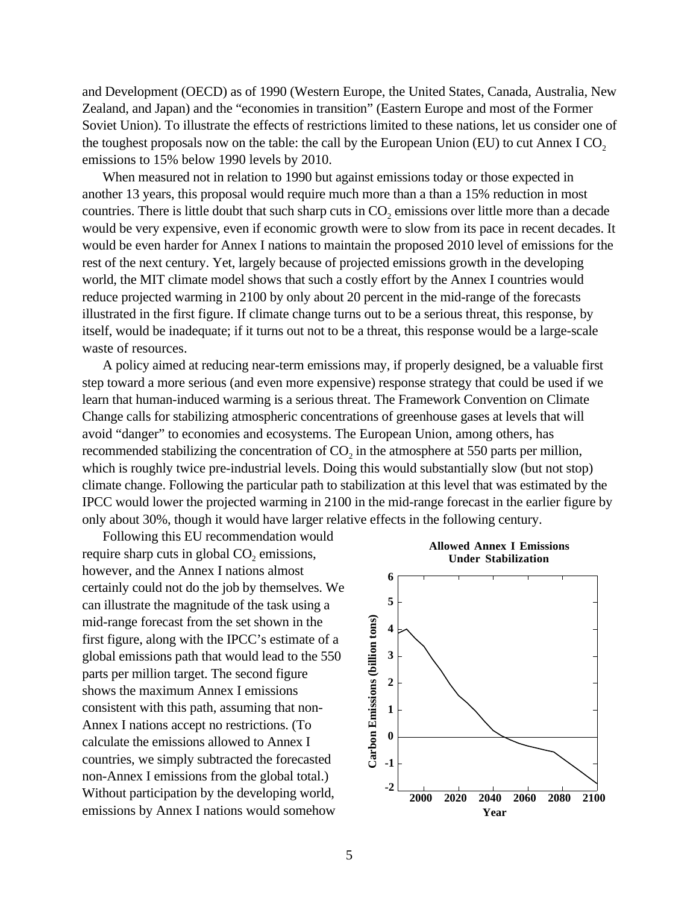and Development (OECD) as of 1990 (Western Europe, the United States, Canada, Australia, New Zealand, and Japan) and the "economies in transition" (Eastern Europe and most of the Former Soviet Union). To illustrate the effects of restrictions limited to these nations, let us consider one of the toughest proposals now on the table: the call by the European Union (EU) to cut Annex I  $CO<sub>2</sub>$ emissions to 15% below 1990 levels by 2010.

When measured not in relation to 1990 but against emissions today or those expected in another 13 years, this proposal would require much more than a than a 15% reduction in most countries. There is little doubt that such sharp cuts in  $CO<sub>2</sub>$  emissions over little more than a decade would be very expensive, even if economic growth were to slow from its pace in recent decades. It would be even harder for Annex I nations to maintain the proposed 2010 level of emissions for the rest of the next century. Yet, largely because of projected emissions growth in the developing world, the MIT climate model shows that such a costly effort by the Annex I countries would reduce projected warming in 2100 by only about 20 percent in the mid-range of the forecasts illustrated in the first figure. If climate change turns out to be a serious threat, this response, by itself, would be inadequate; if it turns out not to be a threat, this response would be a large-scale waste of resources.

A policy aimed at reducing near-term emissions may, if properly designed, be a valuable first step toward a more serious (and even more expensive) response strategy that could be used if we learn that human-induced warming is a serious threat. The Framework Convention on Climate Change calls for stabilizing atmospheric concentrations of greenhouse gases at levels that will avoid "danger" to economies and ecosystems. The European Union, among others, has recommended stabilizing the concentration of  $CO<sub>2</sub>$  in the atmosphere at 550 parts per million, which is roughly twice pre-industrial levels. Doing this would substantially slow (but not stop) climate change. Following the particular path to stabilization at this level that was estimated by the IPCC would lower the projected warming in 2100 in the mid-range forecast in the earlier figure by only about 30%, though it would have larger relative effects in the following century.

Following this EU recommendation would require sharp cuts in global  $CO<sub>2</sub>$  emissions, however, and the Annex I nations almost certainly could not do the job by themselves. We can illustrate the magnitude of the task using a mid-range forecast from the set shown in the first figure, along with the IPCC's estimate of a global emissions path that would lead to the 550 parts per million target. The second figure shows the maximum Annex I emissions consistent with this path, assuming that non-Annex I nations accept no restrictions. (To calculate the emissions allowed to Annex I countries, we simply subtracted the forecasted non-Annex I emissions from the global total.) Without participation by the developing world, emissions by Annex I nations would somehow



**Allowed Annex I Emissions Under Stabilization**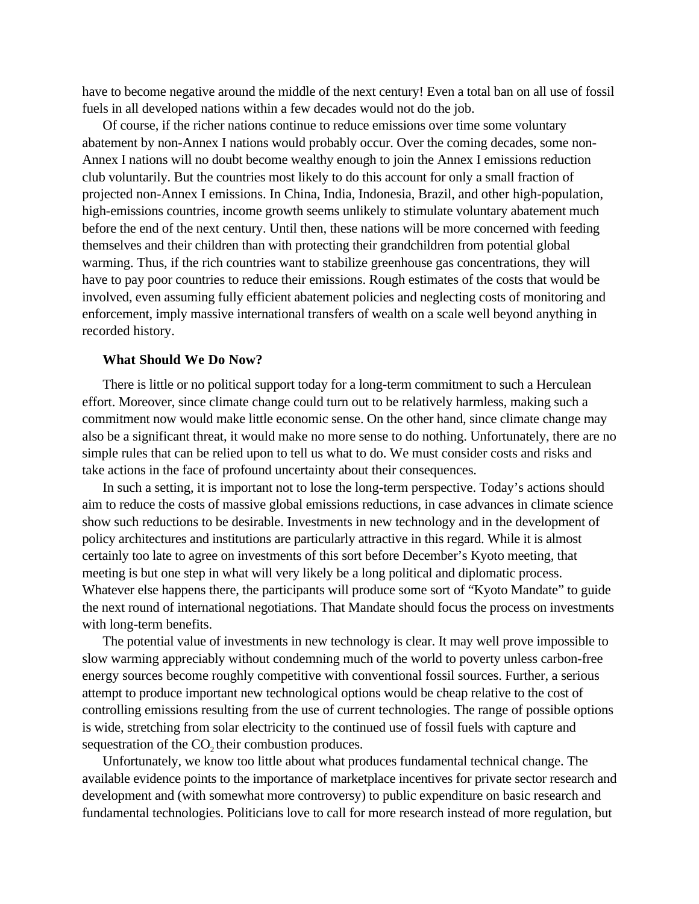have to become negative around the middle of the next century! Even a total ban on all use of fossil fuels in all developed nations within a few decades would not do the job.

Of course, if the richer nations continue to reduce emissions over time some voluntary abatement by non-Annex I nations would probably occur. Over the coming decades, some non-Annex I nations will no doubt become wealthy enough to join the Annex I emissions reduction club voluntarily. But the countries most likely to do this account for only a small fraction of projected non-Annex I emissions. In China, India, Indonesia, Brazil, and other high-population, high-emissions countries, income growth seems unlikely to stimulate voluntary abatement much before the end of the next century. Until then, these nations will be more concerned with feeding themselves and their children than with protecting their grandchildren from potential global warming. Thus, if the rich countries want to stabilize greenhouse gas concentrations, they will have to pay poor countries to reduce their emissions. Rough estimates of the costs that would be involved, even assuming fully efficient abatement policies and neglecting costs of monitoring and enforcement, imply massive international transfers of wealth on a scale well beyond anything in recorded history.

## **What Should We Do Now?**

There is little or no political support today for a long-term commitment to such a Herculean effort. Moreover, since climate change could turn out to be relatively harmless, making such a commitment now would make little economic sense. On the other hand, since climate change may also be a significant threat, it would make no more sense to do nothing. Unfortunately, there are no simple rules that can be relied upon to tell us what to do. We must consider costs and risks and take actions in the face of profound uncertainty about their consequences.

In such a setting, it is important not to lose the long-term perspective. Today's actions should aim to reduce the costs of massive global emissions reductions, in case advances in climate science show such reductions to be desirable. Investments in new technology and in the development of policy architectures and institutions are particularly attractive in this regard. While it is almost certainly too late to agree on investments of this sort before December's Kyoto meeting, that meeting is but one step in what will very likely be a long political and diplomatic process. Whatever else happens there, the participants will produce some sort of "Kyoto Mandate" to guide the next round of international negotiations. That Mandate should focus the process on investments with long-term benefits.

The potential value of investments in new technology is clear. It may well prove impossible to slow warming appreciably without condemning much of the world to poverty unless carbon-free energy sources become roughly competitive with conventional fossil sources. Further, a serious attempt to produce important new technological options would be cheap relative to the cost of controlling emissions resulting from the use of current technologies. The range of possible options is wide, stretching from solar electricity to the continued use of fossil fuels with capture and sequestration of the  $CO<sub>2</sub>$  their combustion produces.

Unfortunately, we know too little about what produces fundamental technical change. The available evidence points to the importance of marketplace incentives for private sector research and development and (with somewhat more controversy) to public expenditure on basic research and fundamental technologies. Politicians love to call for more research instead of more regulation, but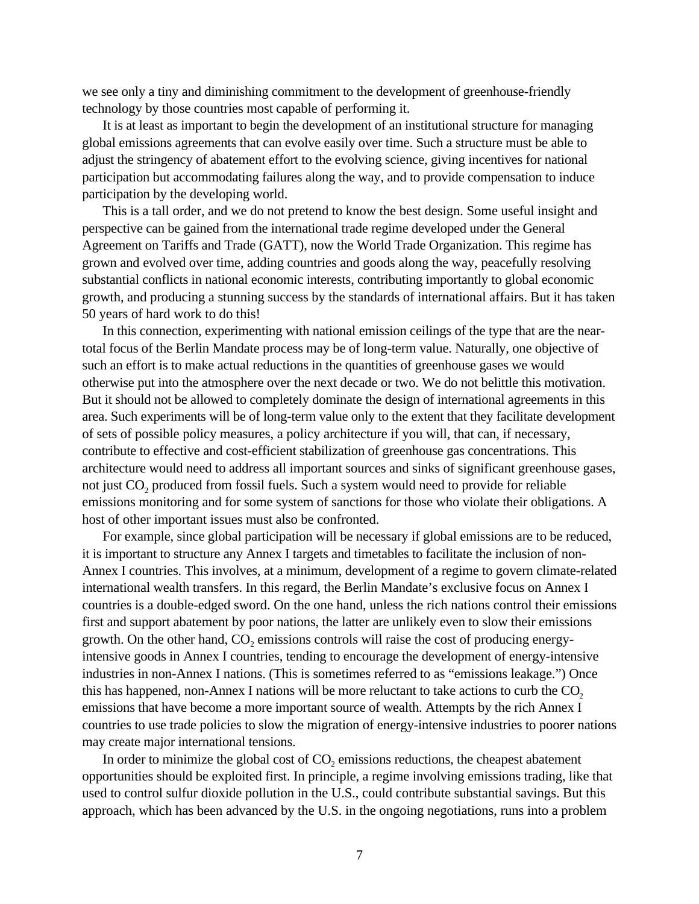we see only a tiny and diminishing commitment to the development of greenhouse-friendly technology by those countries most capable of performing it.

It is at least as important to begin the development of an institutional structure for managing global emissions agreements that can evolve easily over time. Such a structure must be able to adjust the stringency of abatement effort to the evolving science, giving incentives for national participation but accommodating failures along the way, and to provide compensation to induce participation by the developing world.

This is a tall order, and we do not pretend to know the best design. Some useful insight and perspective can be gained from the international trade regime developed under the General Agreement on Tariffs and Trade (GATT), now the World Trade Organization. This regime has grown and evolved over time, adding countries and goods along the way, peacefully resolving substantial conflicts in national economic interests, contributing importantly to global economic growth, and producing a stunning success by the standards of international affairs. But it has taken 50 years of hard work to do this!

In this connection, experimenting with national emission ceilings of the type that are the neartotal focus of the Berlin Mandate process may be of long-term value. Naturally, one objective of such an effort is to make actual reductions in the quantities of greenhouse gases we would otherwise put into the atmosphere over the next decade or two. We do not belittle this motivation. But it should not be allowed to completely dominate the design of international agreements in this area. Such experiments will be of long-term value only to the extent that they facilitate development of sets of possible policy measures, a policy architecture if you will, that can, if necessary, contribute to effective and cost-efficient stabilization of greenhouse gas concentrations. This architecture would need to address all important sources and sinks of significant greenhouse gases, not just CO<sub>2</sub> produced from fossil fuels. Such a system would need to provide for reliable emissions monitoring and for some system of sanctions for those who violate their obligations. A host of other important issues must also be confronted.

For example, since global participation will be necessary if global emissions are to be reduced, it is important to structure any Annex I targets and timetables to facilitate the inclusion of non-Annex I countries. This involves, at a minimum, development of a regime to govern climate-related international wealth transfers. In this regard, the Berlin Mandate's exclusive focus on Annex I countries is a double-edged sword. On the one hand, unless the rich nations control their emissions first and support abatement by poor nations, the latter are unlikely even to slow their emissions growth. On the other hand,  $CO<sub>2</sub>$  emissions controls will raise the cost of producing energyintensive goods in Annex I countries, tending to encourage the development of energy-intensive industries in non-Annex I nations. (This is sometimes referred to as "emissions leakage.") Once this has happened, non-Annex I nations will be more reluctant to take actions to curb the  $CO<sub>2</sub>$ emissions that have become a more important source of wealth. Attempts by the rich Annex I countries to use trade policies to slow the migration of energy-intensive industries to poorer nations may create major international tensions.

In order to minimize the global cost of CO<sub>2</sub> emissions reductions, the cheapest abatement opportunities should be exploited first. In principle, a regime involving emissions trading, like that used to control sulfur dioxide pollution in the U.S., could contribute substantial savings. But this approach, which has been advanced by the U.S. in the ongoing negotiations, runs into a problem